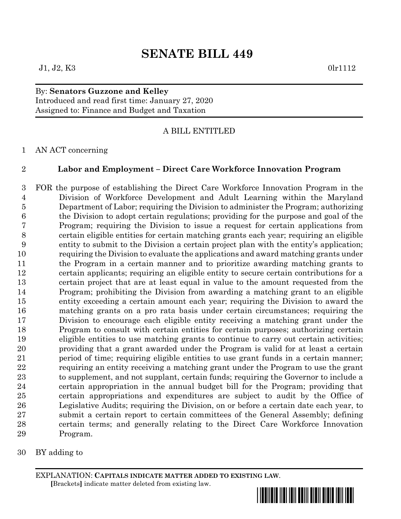## By: **Senators Guzzone and Kelley** Introduced and read first time: January 27, 2020 Assigned to: Finance and Budget and Taxation

## A BILL ENTITLED

## AN ACT concerning

## **Labor and Employment – Direct Care Workforce Innovation Program**

 FOR the purpose of establishing the Direct Care Workforce Innovation Program in the Division of Workforce Development and Adult Learning within the Maryland Department of Labor; requiring the Division to administer the Program; authorizing the Division to adopt certain regulations; providing for the purpose and goal of the Program; requiring the Division to issue a request for certain applications from certain eligible entities for certain matching grants each year; requiring an eligible entity to submit to the Division a certain project plan with the entity's application; requiring the Division to evaluate the applications and award matching grants under the Program in a certain manner and to prioritize awarding matching grants to certain applicants; requiring an eligible entity to secure certain contributions for a certain project that are at least equal in value to the amount requested from the Program; prohibiting the Division from awarding a matching grant to an eligible entity exceeding a certain amount each year; requiring the Division to award the matching grants on a pro rata basis under certain circumstances; requiring the Division to encourage each eligible entity receiving a matching grant under the Program to consult with certain entities for certain purposes; authorizing certain eligible entities to use matching grants to continue to carry out certain activities; providing that a grant awarded under the Program is valid for at least a certain period of time; requiring eligible entities to use grant funds in a certain manner; requiring an entity receiving a matching grant under the Program to use the grant to supplement, and not supplant, certain funds; requiring the Governor to include a certain appropriation in the annual budget bill for the Program; providing that certain appropriations and expenditures are subject to audit by the Office of Legislative Audits; requiring the Division, on or before a certain date each year, to submit a certain report to certain committees of the General Assembly; defining certain terms; and generally relating to the Direct Care Workforce Innovation Program.

BY adding to

EXPLANATION: **CAPITALS INDICATE MATTER ADDED TO EXISTING LAW**.  **[**Brackets**]** indicate matter deleted from existing law.

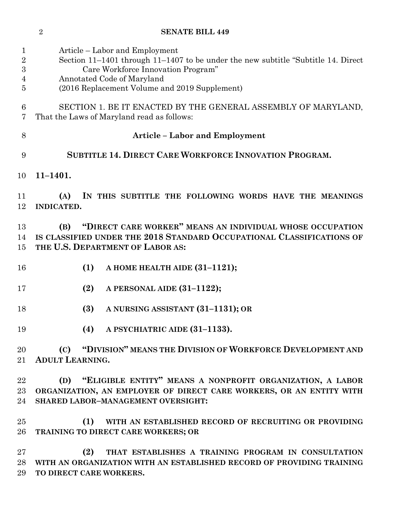| 1<br>$\sqrt{2}$<br>$\overline{3}$<br>4<br>$\overline{5}$ | Article – Labor and Employment<br>Section 11–1401 through 11–1407 to be under the new subtitle "Subtitle 14. Direct<br>Care Workforce Innovation Program"<br>Annotated Code of Maryland<br>(2016 Replacement Volume and 2019 Supplement) |
|----------------------------------------------------------|------------------------------------------------------------------------------------------------------------------------------------------------------------------------------------------------------------------------------------------|
|                                                          |                                                                                                                                                                                                                                          |
| $6\phantom{.}6$<br>7                                     | SECTION 1. BE IT ENACTED BY THE GENERAL ASSEMBLY OF MARYLAND,<br>That the Laws of Maryland read as follows:                                                                                                                              |
| 8                                                        | <b>Article - Labor and Employment</b>                                                                                                                                                                                                    |
| 9                                                        | <b>SUBTITLE 14. DIRECT CARE WORKFORCE INNOVATION PROGRAM.</b>                                                                                                                                                                            |
| 10                                                       | $11 - 1401.$                                                                                                                                                                                                                             |
| 11                                                       | (A)<br>IN THIS SUBTITLE THE FOLLOWING WORDS HAVE THE MEANINGS                                                                                                                                                                            |
| 12                                                       | INDICATED.                                                                                                                                                                                                                               |
| 13                                                       | "DIRECT CARE WORKER" MEANS AN INDIVIDUAL WHOSE OCCUPATION<br>(B)                                                                                                                                                                         |
| 14                                                       | IS CLASSIFIED UNDER THE 2018 STANDARD OCCUPATIONAL CLASSIFICATIONS OF                                                                                                                                                                    |
| 15                                                       | THE U.S. DEPARTMENT OF LABOR AS:                                                                                                                                                                                                         |
| 16                                                       | (1)<br>A HOME HEALTH AIDE (31-1121);                                                                                                                                                                                                     |
| 17                                                       | (2)<br>A PERSONAL AIDE (31-1122);                                                                                                                                                                                                        |
| 18                                                       | (3)<br>A NURSING ASSISTANT (31-1131); OR                                                                                                                                                                                                 |
| 19                                                       | (4)<br>A PSYCHIATRIC AIDE (31-1133).                                                                                                                                                                                                     |
| 20                                                       | (C) "DIVISION" MEANS THE DIVISION OF WORKFORCE DEVELOPMENT AND                                                                                                                                                                           |
| 21                                                       | <b>ADULT LEARNING.</b>                                                                                                                                                                                                                   |
| 22                                                       | "ELIGIBLE ENTITY" MEANS A NONPROFIT ORGANIZATION, A LABOR<br>(D)                                                                                                                                                                         |
| 23                                                       | ORGANIZATION, AN EMPLOYER OF DIRECT CARE WORKERS, OR AN ENTITY WITH                                                                                                                                                                      |
| 24                                                       | SHARED LABOR-MANAGEMENT OVERSIGHT:                                                                                                                                                                                                       |
|                                                          |                                                                                                                                                                                                                                          |
| 25                                                       | (1)<br>WITH AN ESTABLISHED RECORD OF RECRUITING OR PROVIDING                                                                                                                                                                             |
| 26                                                       | TRAINING TO DIRECT CARE WORKERS; OR                                                                                                                                                                                                      |
| 27                                                       | (2)<br>THAT ESTABLISHES A TRAINING PROGRAM IN CONSULTATION                                                                                                                                                                               |
| 28                                                       | WITH AN ORGANIZATION WITH AN ESTABLISHED RECORD OF PROVIDING TRAINING                                                                                                                                                                    |
| 29                                                       | TO DIRECT CARE WORKERS.                                                                                                                                                                                                                  |

**SENATE BILL 449**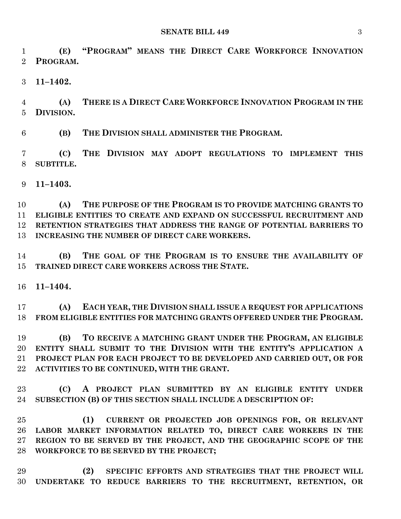**(E) "PROGRAM" MEANS THE DIRECT CARE WORKFORCE INNOVATION PROGRAM.**

**11–1402.**

 **(A) THERE IS A DIRECT CARE WORKFORCE INNOVATION PROGRAM IN THE DIVISION.**

**(B) THE DIVISION SHALL ADMINISTER THE PROGRAM.**

 **(C) THE DIVISION MAY ADOPT REGULATIONS TO IMPLEMENT THIS SUBTITLE.**

**11–1403.**

 **(A) THE PURPOSE OF THE PROGRAM IS TO PROVIDE MATCHING GRANTS TO ELIGIBLE ENTITIES TO CREATE AND EXPAND ON SUCCESSFUL RECRUITMENT AND RETENTION STRATEGIES THAT ADDRESS THE RANGE OF POTENTIAL BARRIERS TO INCREASING THE NUMBER OF DIRECT CARE WORKERS.**

 **(B) THE GOAL OF THE PROGRAM IS TO ENSURE THE AVAILABILITY OF TRAINED DIRECT CARE WORKERS ACROSS THE STATE.**

**11–1404.**

 **(A) EACH YEAR, THE DIVISION SHALL ISSUE A REQUEST FOR APPLICATIONS FROM ELIGIBLE ENTITIES FOR MATCHING GRANTS OFFERED UNDER THE PROGRAM.**

 **(B) TO RECEIVE A MATCHING GRANT UNDER THE PROGRAM, AN ELIGIBLE ENTITY SHALL SUBMIT TO THE DIVISION WITH THE ENTITY'S APPLICATION A PROJECT PLAN FOR EACH PROJECT TO BE DEVELOPED AND CARRIED OUT, OR FOR ACTIVITIES TO BE CONTINUED, WITH THE GRANT.**

 **(C) A PROJECT PLAN SUBMITTED BY AN ELIGIBLE ENTITY UNDER SUBSECTION (B) OF THIS SECTION SHALL INCLUDE A DESCRIPTION OF:**

 **(1) CURRENT OR PROJECTED JOB OPENINGS FOR, OR RELEVANT LABOR MARKET INFORMATION RELATED TO, DIRECT CARE WORKERS IN THE REGION TO BE SERVED BY THE PROJECT, AND THE GEOGRAPHIC SCOPE OF THE WORKFORCE TO BE SERVED BY THE PROJECT;**

 **(2) SPECIFIC EFFORTS AND STRATEGIES THAT THE PROJECT WILL UNDERTAKE TO REDUCE BARRIERS TO THE RECRUITMENT, RETENTION, OR**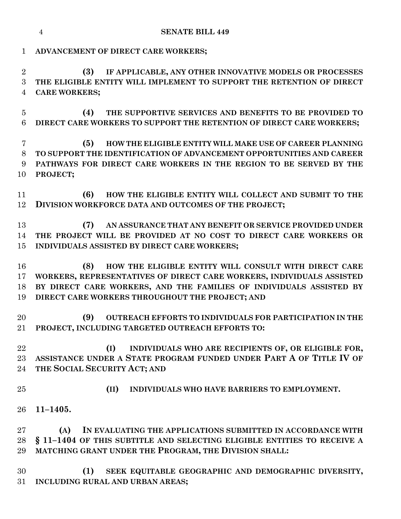|                                       | <b>SENATE BILL 449</b><br>$\overline{4}$                                                                                                                                                                                                                        |
|---------------------------------------|-----------------------------------------------------------------------------------------------------------------------------------------------------------------------------------------------------------------------------------------------------------------|
| $\mathbf 1$                           | ADVANCEMENT OF DIRECT CARE WORKERS;                                                                                                                                                                                                                             |
| $\overline{2}$<br>3<br>$\overline{4}$ | IF APPLICABLE, ANY OTHER INNOVATIVE MODELS OR PROCESSES<br>(3)<br>THE ELIGIBLE ENTITY WILL IMPLEMENT TO SUPPORT THE RETENTION OF DIRECT<br><b>CARE WORKERS;</b>                                                                                                 |
| $\overline{5}$<br>6                   | (4)<br>THE SUPPORTIVE SERVICES AND BENEFITS TO BE PROVIDED TO<br>DIRECT CARE WORKERS TO SUPPORT THE RETENTION OF DIRECT CARE WORKERS;                                                                                                                           |
| 7<br>8<br>9<br>10                     | HOW THE ELIGIBLE ENTITY WILL MAKE USE OF CAREER PLANNING<br>(5)<br>TO SUPPORT THE IDENTIFICATION OF ADVANCEMENT OPPORTUNITIES AND CAREER<br>PATHWAYS FOR DIRECT CARE WORKERS IN THE REGION TO BE SERVED BY THE<br>PROJECT;                                      |
| 11<br>12                              | HOW THE ELIGIBLE ENTITY WILL COLLECT AND SUBMIT TO THE<br>(6)<br>DIVISION WORKFORCE DATA AND OUTCOMES OF THE PROJECT;                                                                                                                                           |
| 13<br>14<br>15                        | AN ASSURANCE THAT ANY BENEFIT OR SERVICE PROVIDED UNDER<br>(7)<br>THE PROJECT WILL BE PROVIDED AT NO COST TO DIRECT CARE WORKERS OR<br>INDIVIDUALS ASSISTED BY DIRECT CARE WORKERS;                                                                             |
| 16<br>17<br>18<br>19                  | HOW THE ELIGIBLE ENTITY WILL CONSULT WITH DIRECT CARE<br>(8)<br>WORKERS, REPRESENTATIVES OF DIRECT CARE WORKERS, INDIVIDUALS ASSISTED<br>BY DIRECT CARE WORKERS, AND THE FAMILIES OF INDIVIDUALS ASSISTED BY<br>DIRECT CARE WORKERS THROUGHOUT THE PROJECT; AND |
| 20<br>$21\,$                          | (9)<br>OUTREACH EFFORTS TO INDIVIDUALS FOR PARTICIPATION IN THE<br>PROJECT, INCLUDING TARGETED OUTREACH EFFORTS TO:                                                                                                                                             |
| 22<br>23<br>24                        | (I)<br>INDIVIDUALS WHO ARE RECIPIENTS OF, OR ELIGIBLE FOR,<br>ASSISTANCE UNDER A STATE PROGRAM FUNDED UNDER PART A OF TITLE IV OF<br>THE SOCIAL SECURITY ACT; AND                                                                                               |
| 25                                    | (II)<br>INDIVIDUALS WHO HAVE BARRIERS TO EMPLOYMENT.                                                                                                                                                                                                            |
| 26                                    | $11 - 1405.$                                                                                                                                                                                                                                                    |
| $27\,$<br>28<br>29                    | IN EVALUATING THE APPLICATIONS SUBMITTED IN ACCORDANCE WITH<br>(A)<br>§ 11-1404 OF THIS SUBTITLE AND SELECTING ELIGIBLE ENTITIES TO RECEIVE A<br>MATCHING GRANT UNDER THE PROGRAM, THE DIVISION SHALL:                                                          |
| 30<br>$31\,$                          | (1)<br>SEEK EQUITABLE GEOGRAPHIC AND DEMOGRAPHIC DIVERSITY,<br>INCLUDING RURAL AND URBAN AREAS;                                                                                                                                                                 |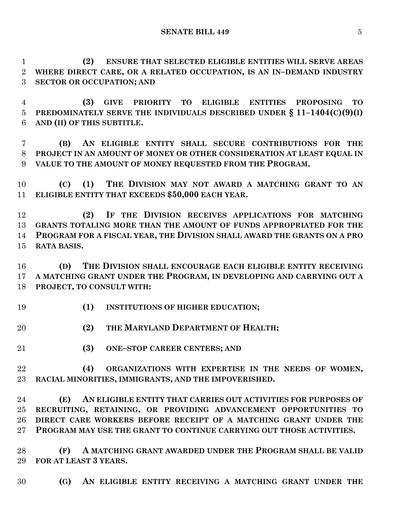**(2) ENSURE THAT SELECTED ELIGIBLE ENTITIES WILL SERVE AREAS WHERE DIRECT CARE, OR A RELATED OCCUPATION, IS AN IN–DEMAND INDUSTRY SECTOR OR OCCUPATION; AND**

 **(3) GIVE PRIORITY TO ELIGIBLE ENTITIES PROPOSING TO PREDOMINATELY SERVE THE INDIVIDUALS DESCRIBED UNDER § 11–1404(C)(9)(I) AND (II) OF THIS SUBTITLE.**

 **(B) AN ELIGIBLE ENTITY SHALL SECURE CONTRIBUTIONS FOR THE PROJECT IN AN AMOUNT OF MONEY OR OTHER CONSIDERATION AT LEAST EQUAL IN VALUE TO THE AMOUNT OF MONEY REQUESTED FROM THE PROGRAM.**

 **(C) (1) THE DIVISION MAY NOT AWARD A MATCHING GRANT TO AN ELIGIBLE ENTITY THAT EXCEEDS \$50,000 EACH YEAR.**

 **(2) IF THE DIVISION RECEIVES APPLICATIONS FOR MATCHING GRANTS TOTALING MORE THAN THE AMOUNT OF FUNDS APPROPRIATED FOR THE PROGRAM FOR A FISCAL YEAR, THE DIVISION SHALL AWARD THE GRANTS ON A PRO RATA BASIS.**

 **(D) THE DIVISION SHALL ENCOURAGE EACH ELIGIBLE ENTITY RECEIVING A MATCHING GRANT UNDER THE PROGRAM, IN DEVELOPING AND CARRYING OUT A PROJECT, TO CONSULT WITH:**

- **(1) INSTITUTIONS OF HIGHER EDUCATION;**
- **(2) THE MARYLAND DEPARTMENT OF HEALTH;**
- **(3) ONE–STOP CAREER CENTERS; AND**
- **(4) ORGANIZATIONS WITH EXPERTISE IN THE NEEDS OF WOMEN, RACIAL MINORITIES, IMMIGRANTS, AND THE IMPOVERISHED.**

 **(E) AN ELIGIBLE ENTITY THAT CARRIES OUT ACTIVITIES FOR PURPOSES OF RECRUITING, RETAINING, OR PROVIDING ADVANCEMENT OPPORTUNITIES TO DIRECT CARE WORKERS BEFORE RECEIPT OF A MATCHING GRANT UNDER THE PROGRAM MAY USE THE GRANT TO CONTINUE CARRYING OUT THOSE ACTIVITIES.**

 **(F) A MATCHING GRANT AWARDED UNDER THE PROGRAM SHALL BE VALID FOR AT LEAST 3 YEARS.**

**(G) AN ELIGIBLE ENTITY RECEIVING A MATCHING GRANT UNDER THE**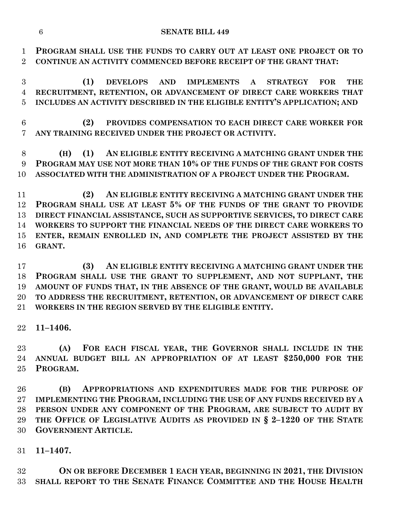**PROGRAM SHALL USE THE FUNDS TO CARRY OUT AT LEAST ONE PROJECT OR TO CONTINUE AN ACTIVITY COMMENCED BEFORE RECEIPT OF THE GRANT THAT:**

 **(1) DEVELOPS AND IMPLEMENTS A STRATEGY FOR THE RECRUITMENT, RETENTION, OR ADVANCEMENT OF DIRECT CARE WORKERS THAT INCLUDES AN ACTIVITY DESCRIBED IN THE ELIGIBLE ENTITY'S APPLICATION; AND**

 **(2) PROVIDES COMPENSATION TO EACH DIRECT CARE WORKER FOR ANY TRAINING RECEIVED UNDER THE PROJECT OR ACTIVITY.**

 **(H) (1) AN ELIGIBLE ENTITY RECEIVING A MATCHING GRANT UNDER THE PROGRAM MAY USE NOT MORE THAN 10% OF THE FUNDS OF THE GRANT FOR COSTS ASSOCIATED WITH THE ADMINISTRATION OF A PROJECT UNDER THE PROGRAM.**

 **(2) AN ELIGIBLE ENTITY RECEIVING A MATCHING GRANT UNDER THE PROGRAM SHALL USE AT LEAST 5% OF THE FUNDS OF THE GRANT TO PROVIDE DIRECT FINANCIAL ASSISTANCE, SUCH AS SUPPORTIVE SERVICES, TO DIRECT CARE WORKERS TO SUPPORT THE FINANCIAL NEEDS OF THE DIRECT CARE WORKERS TO ENTER, REMAIN ENROLLED IN, AND COMPLETE THE PROJECT ASSISTED BY THE GRANT.**

 **(3) AN ELIGIBLE ENTITY RECEIVING A MATCHING GRANT UNDER THE PROGRAM SHALL USE THE GRANT TO SUPPLEMENT, AND NOT SUPPLANT, THE AMOUNT OF FUNDS THAT, IN THE ABSENCE OF THE GRANT, WOULD BE AVAILABLE TO ADDRESS THE RECRUITMENT, RETENTION, OR ADVANCEMENT OF DIRECT CARE WORKERS IN THE REGION SERVED BY THE ELIGIBLE ENTITY.**

**11–1406.**

 **(A) FOR EACH FISCAL YEAR, THE GOVERNOR SHALL INCLUDE IN THE ANNUAL BUDGET BILL AN APPROPRIATION OF AT LEAST \$250,000 FOR THE PROGRAM.**

 **(B) APPROPRIATIONS AND EXPENDITURES MADE FOR THE PURPOSE OF IMPLEMENTING THE PROGRAM, INCLUDING THE USE OF ANY FUNDS RECEIVED BY A PERSON UNDER ANY COMPONENT OF THE PROGRAM, ARE SUBJECT TO AUDIT BY THE OFFICE OF LEGISLATIVE AUDITS AS PROVIDED IN § 2–1220 OF THE STATE GOVERNMENT ARTICLE.**

**11–1407.**

 **ON OR BEFORE DECEMBER 1 EACH YEAR, BEGINNING IN 2021, THE DIVISION SHALL REPORT TO THE SENATE FINANCE COMMITTEE AND THE HOUSE HEALTH**